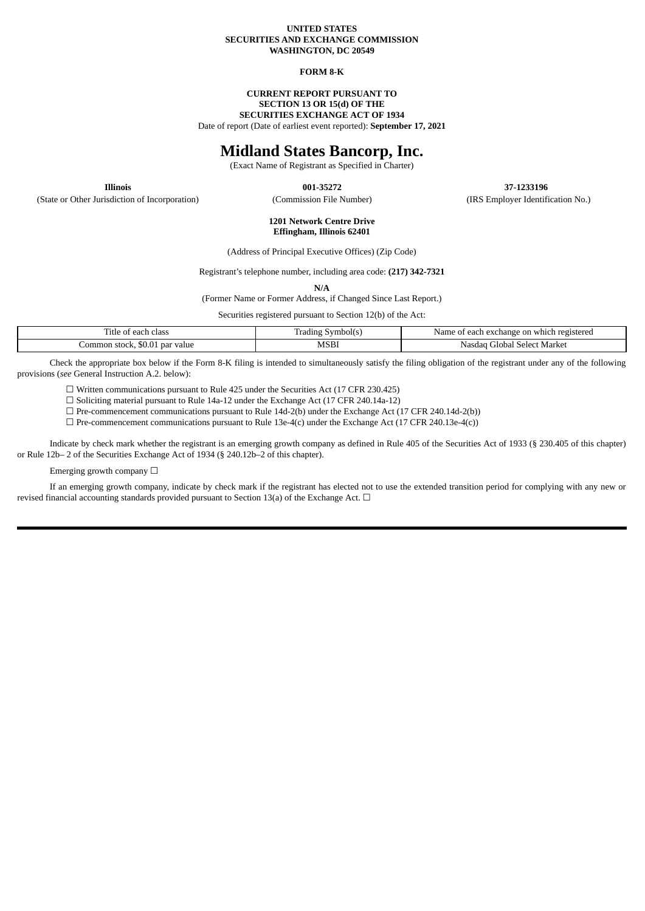#### **UNITED STATES SECURITIES AND EXCHANGE COMMISSION WASHINGTON, DC 20549**

#### **FORM 8-K**

#### **CURRENT REPORT PURSUANT TO SECTION 13 OR 15(d) OF THE SECURITIES EXCHANGE ACT OF 1934** Date of report (Date of earliest event reported): **September 17, 2021**

### **Midland States Bancorp, Inc.**

(Exact Name of Registrant as Specified in Charter)

**Illinois 001-35272 37-1233196** (State or Other Jurisdiction of Incorporation) (Commission File Number) (IRS Employer Identification No.)

> **1201 Network Centre Drive Effingham, Illinois 62401**

(Address of Principal Executive Offices) (Zip Code)

Registrant's telephone number, including area code: **(217) 342-7321**

**N/A**

(Former Name or Former Address, if Changed Since Last Report.)

Securities registered pursuant to Section 12(b) of the Act:

| each class<br>ritle.<br>$\sim$<br>. OT | radıng<br>Symbol(s) | t each exchange on which registered<br>Name<br>ΟĪ |  |
|----------------------------------------|---------------------|---------------------------------------------------|--|
| . par value<br>.ommon<br>stock, \$0.01 | MSB1                | Select Market<br>Gilobal<br>Nasdac                |  |

Check the appropriate box below if the Form 8-K filing is intended to simultaneously satisfy the filing obligation of the registrant under any of the following provisions (*see* General Instruction A.2. below):

☐ Written communications pursuant to Rule 425 under the Securities Act (17 CFR 230.425)

☐ Soliciting material pursuant to Rule 14a-12 under the Exchange Act (17 CFR 240.14a-12)

 $\Box$  Pre-commencement communications pursuant to Rule 14d-2(b) under the Exchange Act (17 CFR 240.14d-2(b))

 $\Box$  Pre-commencement communications pursuant to Rule 13e-4(c) under the Exchange Act (17 CFR 240.13e-4(c))

Indicate by check mark whether the registrant is an emerging growth company as defined in Rule 405 of the Securities Act of 1933 (§ 230.405 of this chapter) or Rule 12b– 2 of the Securities Exchange Act of 1934 (§ 240.12b–2 of this chapter).

Emerging growth company  $\Box$ 

If an emerging growth company, indicate by check mark if the registrant has elected not to use the extended transition period for complying with any new or revised financial accounting standards provided pursuant to Section 13(a) of the Exchange Act.  $\Box$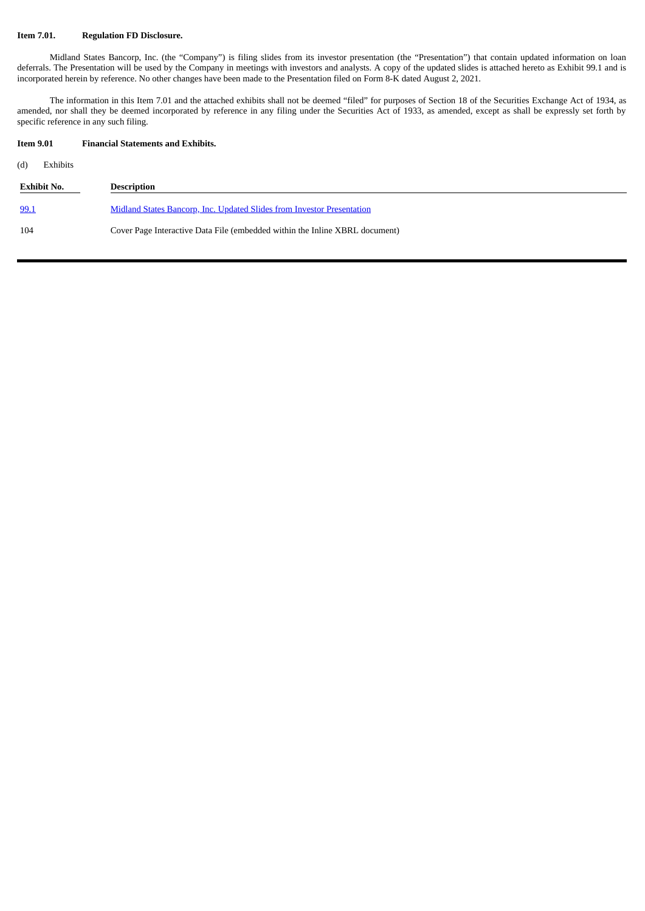#### **Item 7.01. Regulation FD Disclosure.**

Midland States Bancorp, Inc. (the "Company") is filing slides from its investor presentation (the "Presentation") that contain updated information on loan deferrals. The Presentation will be used by the Company in meetings with investors and analysts. A copy of the updated slides is attached hereto as Exhibit 99.1 and is incorporated herein by reference. No other changes have been made to the Presentation filed on Form 8-K dated August 2, 2021.

The information in this Item 7.01 and the attached exhibits shall not be deemed "filed" for purposes of Section 18 of the Securities Exchange Act of 1934, as amended, nor shall they be deemed incorporated by reference in any filing under the Securities Act of 1933, as amended, except as shall be expressly set forth by specific reference in any such filing.

#### **Item 9.01 Financial Statements and Exhibits.**

(d) Exhibits

| Exhibit No. | <b>Description</b>                                                          |
|-------------|-----------------------------------------------------------------------------|
| 99.1        | Midland States Bancorp, Inc. Updated Slides from Investor Presentation      |
| 104         | Cover Page Interactive Data File (embedded within the Inline XBRL document) |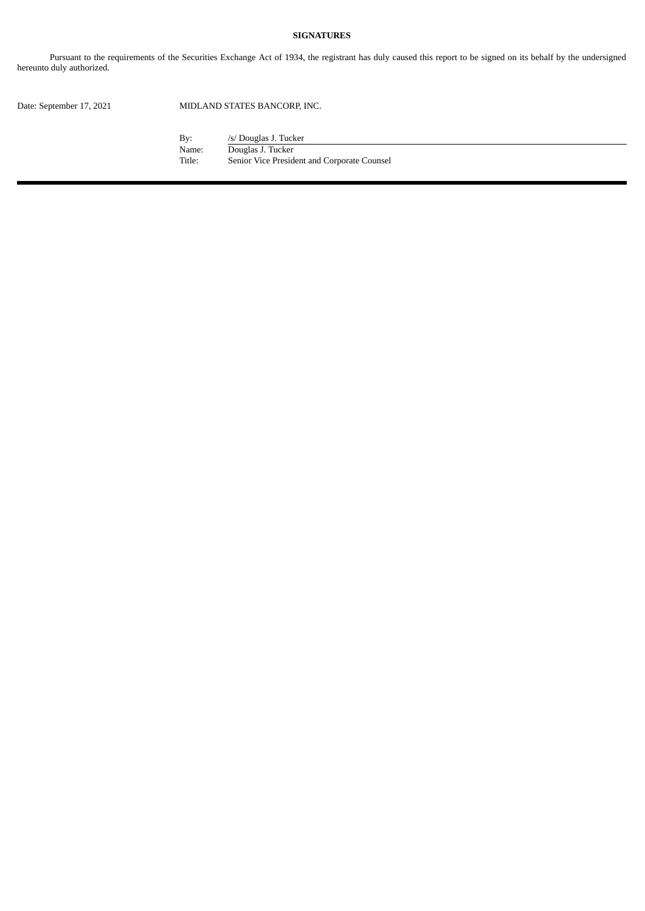#### **SIGNATURES**

Pursuant to the requirements of the Securities Exchange Act of 1934, the registrant has duly caused this report to be signed on its behalf by the undersigned hereunto duly authorized.

Date: September 17, 2021 MIDLAND STATES BANCORP, INC.

By: /s/ Douglas J. Tucker<br>Name: Douglas J. Tucker Name: Douglas J. Tucker<br>Title: Senior Vice Presid Senior Vice President and Corporate Counsel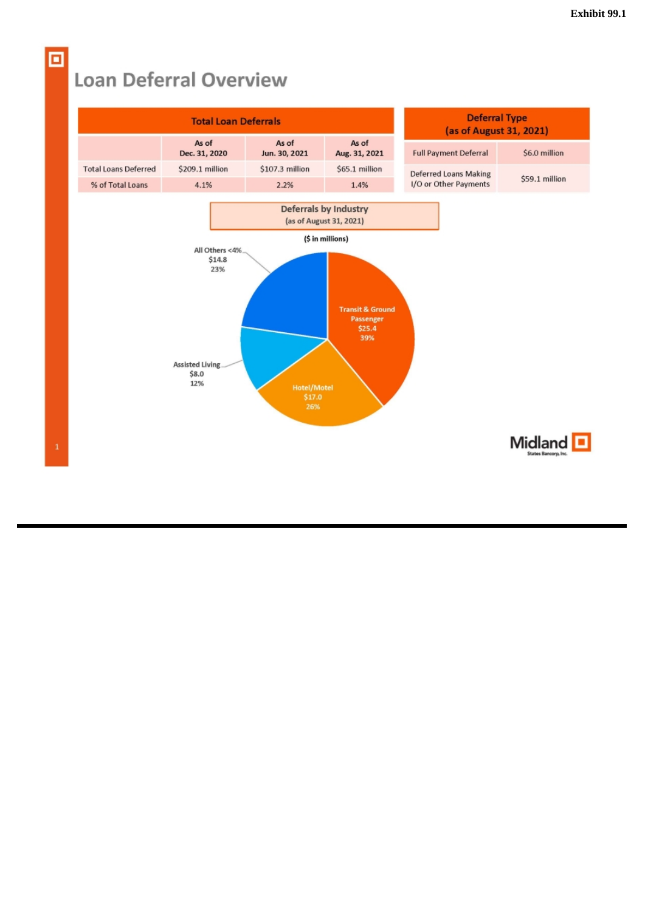### **Loan Deferral Overview**



<span id="page-3-0"></span>о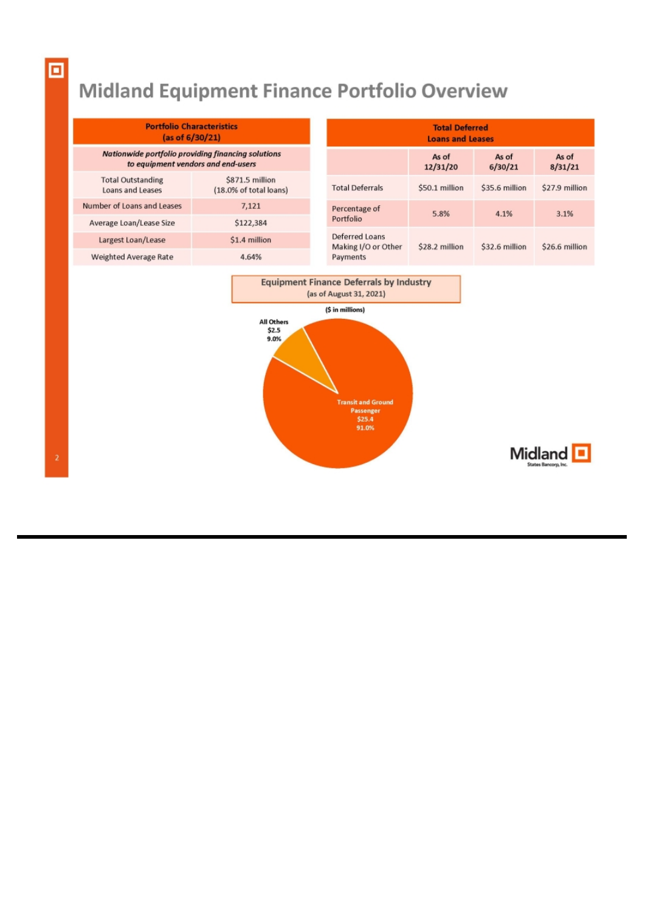# Midland Equipment Finance Portfolio Overview

| <b>Portfolio Characteristics</b><br>(as of 6/30/21)                                      |                                           |  | <b>Total Deferred</b><br><b>Loans and Leases</b>  |                   |                        |                  |                |                |
|------------------------------------------------------------------------------------------|-------------------------------------------|--|---------------------------------------------------|-------------------|------------------------|------------------|----------------|----------------|
| Nationwide portfolio providing financing solutions<br>to equipment vendors and end-users |                                           |  |                                                   | As of<br>12/31/20 | As of<br>6/30/21       | As of<br>8/31/21 |                |                |
| <b>Total Outstanding</b><br>Loans and Leases                                             | \$871.5 million<br>(18.0% of total loans) |  |                                                   |                   | <b>Total Deferrals</b> | \$50.1 million   | \$35.6 million | \$27.9 million |
| Number of Loans and Leases                                                               | 7,121                                     |  | Percentage of                                     | 5.8%              | 4.1%                   | 3.1%             |                |                |
| Average Loan/Lease Size                                                                  | \$122,384                                 |  | Portfolio                                         |                   |                        |                  |                |                |
| Largest Loan/Lease                                                                       | \$1.4 million                             |  | Deferred Loans<br>Making I/O or Other<br>Payments | \$28.2 million    | \$32.6 million         | \$26.6 million   |                |                |
| Weighted Average Rate                                                                    | 4.64%                                     |  |                                                   |                   |                        |                  |                |                |
| <b>Equipment Finance Deferrals by Industry</b><br>(as of August 31, 2021)                |                                           |  |                                                   |                   |                        |                  |                |                |
| (\$ in millions)                                                                         |                                           |  |                                                   |                   |                        |                  |                |                |
| All Others<br>\$2.5<br>9.0%<br>and the company's state and a                             |                                           |  |                                                   |                   |                        |                  |                |                |

Passenger<br>\$25.4<br>91.0%

 $\boxed{\text{Midland}}_{\text{Status Banog, loc}}$ 

回